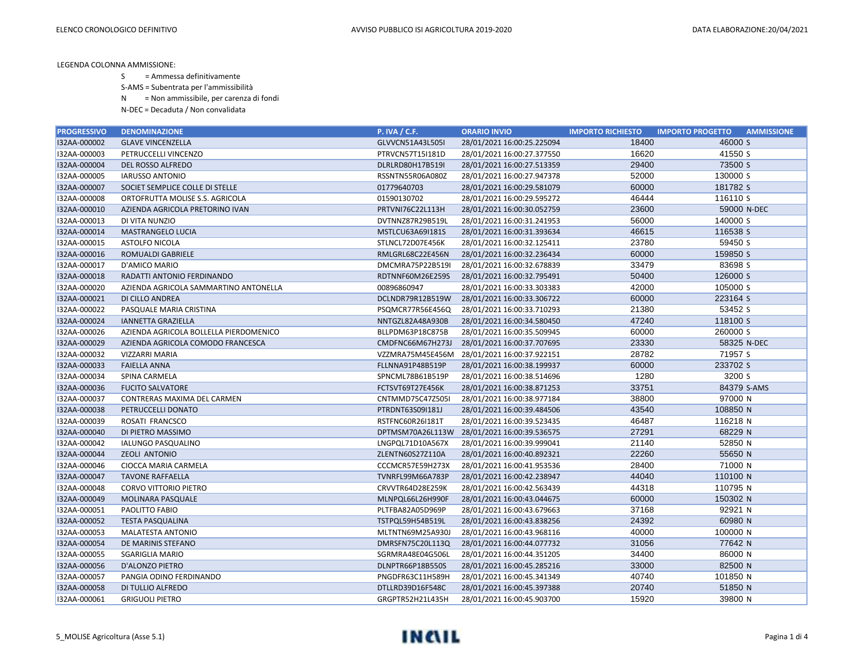S = Ammessa definitivamente

S-AMS = Subentrata per l'ammissibilità

N = Non ammissibile, per carenza di fondi

| <b>PROGRESSIVO</b> | <b>DENOMINAZIONE</b>                   | <b>P. IVA / C.F.</b> | <b>ORARIO INVIO</b>                         | <b>IMPORTO RICHIESTO</b> | <b>IMPORTO PROGETTO</b><br><b>AMMISSIONE</b> |
|--------------------|----------------------------------------|----------------------|---------------------------------------------|--------------------------|----------------------------------------------|
| I32AA-000002       | <b>GLAVE VINCENZELLA</b>               | GLVVCN51A43L505I     | 28/01/2021 16:00:25.225094                  | 18400                    | 46000 S                                      |
| I32AA-000003       | PETRUCCELLI VINCENZO                   | PTRVCN57T15I181D     | 28/01/2021 16:00:27.377550                  | 16620                    | 41550 S                                      |
| I32AA-000004       | DEL ROSSO ALFREDO                      | DLRLRD80H17B519I     | 28/01/2021 16:00:27.513359                  | 29400                    | 73500 S                                      |
| I32AA-000005       | <b>IARUSSO ANTONIO</b>                 | RSSNTN55R06A080Z     | 28/01/2021 16:00:27.947378                  | 52000                    | 130000 S                                     |
| I32AA-000007       | SOCIET SEMPLICE COLLE DI STELLE        | 01779640703          | 28/01/2021 16:00:29.581079                  | 60000                    | 181782 S                                     |
| I32AA-000008       | ORTOFRUTTA MOLISE S.S. AGRICOLA        | 01590130702          | 28/01/2021 16:00:29.595272                  | 46444                    | 116110 S                                     |
| I32AA-000010       | AZIENDA AGRICOLA PRETORINO IVAN        | PRTVNI76C22L113H     | 28/01/2021 16:00:30.052759                  | 23600                    | 59000 N-DEC                                  |
| I32AA-000013       | DI VITA NUNZIO                         | DVTNNZ87R29B519L     | 28/01/2021 16:00:31.241953                  | 56000                    | 140000 S                                     |
| I32AA-000014       | <b>MASTRANGELO LUCIA</b>               | MSTLCU63A69I181S     | 28/01/2021 16:00:31.393634                  | 46615                    | 116538 S                                     |
| I32AA-000015       | <b>ASTOLFO NICOLA</b>                  | STLNCL72D07E456K     | 28/01/2021 16:00:32.125411                  | 23780                    | 59450 S                                      |
| I32AA-000016       | ROMUALDI GABRIELE                      | RMLGRL68C22E456N     | 28/01/2021 16:00:32.236434                  | 60000                    | 159850 S                                     |
| I32AA-000017       | D'AMICO MARIO                          | DMCMRA75P22B519I     | 28/01/2021 16:00:32.678839                  | 33479                    | 83698 S                                      |
| I32AA-000018       | RADATTI ANTONIO FERDINANDO             | RDTNNF60M26E259S     | 28/01/2021 16:00:32.795491                  | 50400                    | 126000 S                                     |
| I32AA-000020       | AZIENDA AGRICOLA SAMMARTINO ANTONELLA  | 00896860947          | 28/01/2021 16:00:33.303383                  | 42000                    | 105000 S                                     |
| I32AA-000021       | DI CILLO ANDREA                        | DCLNDR79R12B519W     | 28/01/2021 16:00:33.306722                  | 60000                    | 223164 S                                     |
| I32AA-000022       | PASQUALE MARIA CRISTINA                | PSQMCR77R56E456Q     | 28/01/2021 16:00:33.710293                  | 21380                    | 53452 S                                      |
| I32AA-000024       | <b>IANNETTA GRAZIELLA</b>              | NNTGZL82A48A930B     | 28/01/2021 16:00:34.580450                  | 47240                    | 118100 S                                     |
| I32AA-000026       | AZIENDA AGRICOLA BOLLELLA PIERDOMENICO | BLLPDM63P18C875B     | 28/01/2021 16:00:35.509945                  | 60000                    | 260000 S                                     |
| I32AA-000029       | AZIENDA AGRICOLA COMODO FRANCESCA      | CMDFNC66M67H273J     | 28/01/2021 16:00:37.707695                  | 23330                    | 58325 N-DEC                                  |
| I32AA-000032       | <b>VIZZARRI MARIA</b>                  |                      | VZZMRA75M45E456M 28/01/2021 16:00:37.922151 | 28782                    | 71957 S                                      |
| I32AA-000033       | <b>FAIELLA ANNA</b>                    | FLLNNA91P48B519P     | 28/01/2021 16:00:38.199937                  | 60000                    | 233702 S                                     |
| I32AA-000034       | SPINA CARMELA                          | SPNCML78B61B519P     | 28/01/2021 16:00:38.514696                  | 1280                     | 3200 S                                       |
| I32AA-000036       | <b>FUCITO SALVATORE</b>                | FCTSVT69T27E456K     | 28/01/2021 16:00:38.871253                  | 33751                    | 84379 S-AMS                                  |
| I32AA-000037       | CONTRERAS MAXIMA DEL CARMEN            | CNTMMD75C47Z505I     | 28/01/2021 16:00:38.977184                  | 38800                    | 97000 N                                      |
| I32AA-000038       | PETRUCCELLI DONATO                     | PTRDNT63S09I181J     | 28/01/2021 16:00:39.484506                  | 43540                    | 108850 N                                     |
| I32AA-000039       | ROSATI FRANCSCO                        | RSTFNC60R26I181T     | 28/01/2021 16:00:39.523435                  | 46487                    | 116218 N                                     |
| I32AA-000040       | DI PIETRO MASSIMO                      |                      | DPTMSM70A26L113W 28/01/2021 16:00:39.536575 | 27291                    | 68229 N                                      |
| I32AA-000042       | IALUNGO PASQUALINO                     | LNGPQL71D10A567X     | 28/01/2021 16:00:39.999041                  | 21140                    | 52850 N                                      |
| I32AA-000044       | <b>ZEOLI ANTONIO</b>                   | ZLENTN60S27Z110A     | 28/01/2021 16:00:40.892321                  | 22260                    | 55650 N                                      |
| I32AA-000046       | CIOCCA MARIA CARMELA                   | CCCMCR57E59H273X     | 28/01/2021 16:00:41.953536                  | 28400                    | 71000 N                                      |
| I32AA-000047       | <b>TAVONE RAFFAELLA</b>                | TVNRFL99M66A783P     | 28/01/2021 16:00:42.238947                  | 44040                    | 110100 N                                     |
| I32AA-000048       | <b>CORVO VITTORIO PIETRO</b>           | CRVVTR64D28E259K     | 28/01/2021 16:00:42.563439                  | 44318                    | 110795 N                                     |
| I32AA-000049       | MOLINARA PASQUALE                      | MLNPQL66L26H990F     | 28/01/2021 16:00:43.044675                  | 60000                    | 150302 N                                     |
| I32AA-000051       | PAOLITTO FABIO                         | PLTFBA82A05D969P     | 28/01/2021 16:00:43.679663                  | 37168                    | 92921 N                                      |
| I32AA-000052       | <b>TESTA PASQUALINA</b>                | TSTPQL59H54B519L     | 28/01/2021 16:00:43.838256                  | 24392                    | 60980 N                                      |
| I32AA-000053       | MALATESTA ANTONIO                      | MLTNTN69M25A930J     | 28/01/2021 16:00:43.968116                  | 40000                    | 100000 N                                     |
| I32AA-000054       | DE MARINIS STEFANO                     | DMRSFN75C20L113Q     | 28/01/2021 16:00:44.077732                  | 31056                    | 77642 N                                      |
| I32AA-000055       | <b>SGARIGLIA MARIO</b>                 | SGRMRA48E04G506L     | 28/01/2021 16:00:44.351205                  | 34400                    | 86000 N                                      |
| I32AA-000056       | D'ALONZO PIETRO                        | DLNPTR66P18B550S     | 28/01/2021 16:00:45.285216                  | 33000                    | 82500 N                                      |
| I32AA-000057       | PANGIA ODINO FERDINANDO                | PNGDFR63C11H589H     | 28/01/2021 16:00:45.341349                  | 40740                    | 101850 N                                     |
| I32AA-000058       | DI TULLIO ALFREDO                      | DTLLRD39D16F548C     | 28/01/2021 16:00:45.397388                  | 20740                    | 51850 N                                      |
| I32AA-000061       | <b>GRIGUOLI PIETRO</b>                 | GRGPTR52H21L435H     | 28/01/2021 16:00:45.903700                  | 15920                    | 39800 N                                      |

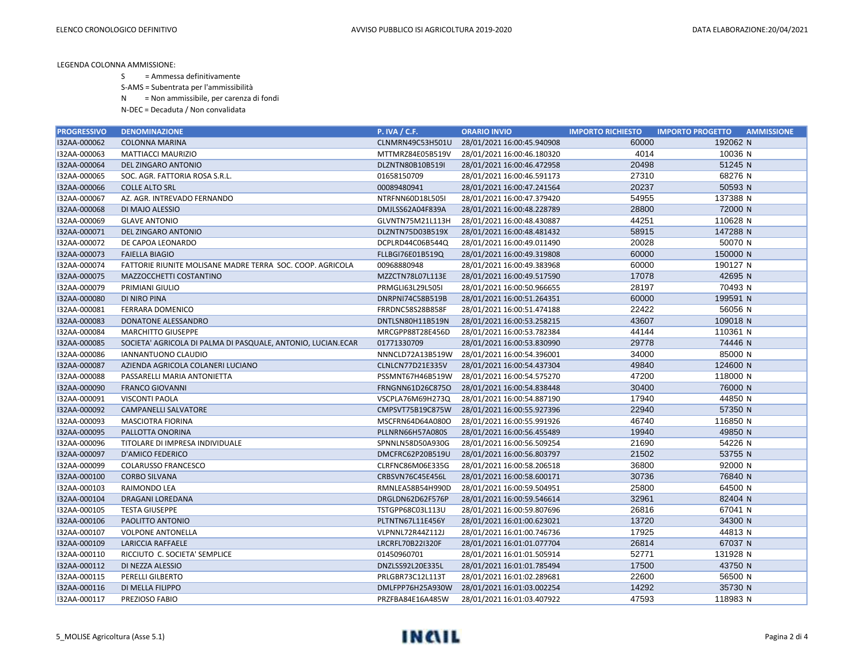S = Ammessa definitivamente

S-AMS = Subentrata per l'ammissibilità

N = Non ammissibile, per carenza di fondi

| <b>PROGRESSIVO</b> | <b>DENOMINAZIONE</b>                                         | <b>P. IVA / C.F.</b> | <b>ORARIO INVIO</b>        | <b>IMPORTO RICHIESTO</b> | <b>IMPORTO PROGETTO</b><br><b>AMMISSIONE</b> |
|--------------------|--------------------------------------------------------------|----------------------|----------------------------|--------------------------|----------------------------------------------|
| I32AA-000062       | <b>COLONNA MARINA</b>                                        | CLNMRN49C53H501U     | 28/01/2021 16:00:45.940908 | 60000                    | 192062 N                                     |
| I32AA-000063       | <b>MATTIACCI MAURIZIO</b>                                    | MTTMRZ84E05B519V     | 28/01/2021 16:00:46.180320 | 4014                     | 10036 N                                      |
| I32AA-000064       | DEL ZINGARO ANTONIO                                          | DLZNTN80B10B519I     | 28/01/2021 16:00:46.472958 | 20498                    | 51245 N                                      |
| I32AA-000065       | SOC. AGR. FATTORIA ROSA S.R.L.                               | 01658150709          | 28/01/2021 16:00:46.591173 | 27310                    | 68276 N                                      |
| I32AA-000066       | <b>COLLE ALTO SRL</b>                                        | 00089480941          | 28/01/2021 16:00:47.241564 | 20237                    | 50593 N                                      |
| I32AA-000067       | AZ. AGR. INTREVADO FERNANDO                                  | NTRFNN60D18L505I     | 28/01/2021 16:00:47.379420 | 54955                    | 137388 N                                     |
| I32AA-000068       | DI MAJO ALESSIO                                              | DMJLSS62A04F839A     | 28/01/2021 16:00:48.228789 | 28800                    | 72000 N                                      |
| I32AA-000069       | <b>GLAVE ANTONIO</b>                                         | GLVNTN75M21L113H     | 28/01/2021 16:00:48.430887 | 44251                    | 110628 N                                     |
| I32AA-000071       | DEL ZINGARO ANTONIO                                          | DLZNTN75D03B519X     | 28/01/2021 16:00:48.481432 | 58915                    | 147288 N                                     |
| I32AA-000072       | DE CAPOA LEONARDO                                            | DCPLRD44C06B544Q     | 28/01/2021 16:00:49.011490 | 20028                    | 50070 N                                      |
| I32AA-000073       | <b>FAIELLA BIAGIO</b>                                        | FLLBGI76E01B519Q     | 28/01/2021 16:00:49.319808 | 60000                    | 150000 N                                     |
| I32AA-000074       | FATTORIE RIUNITE MOLISANE MADRE TERRA SOC. COOP. AGRICOLA    | 00968880948          | 28/01/2021 16:00:49.383968 | 60000                    | 190127 N                                     |
| I32AA-000075       | MAZZOCCHETTI COSTANTINO                                      | MZZCTN78L07L113E     | 28/01/2021 16:00:49.517590 | 17078                    | 42695 N                                      |
| I32AA-000079       | PRIMIANI GIULIO                                              | PRMGLI63L29L505I     | 28/01/2021 16:00:50.966655 | 28197                    | 70493 N                                      |
| I32AA-000080       | <b>DI NIRO PINA</b>                                          | DNRPNI74C58B519B     | 28/01/2021 16:00:51.264351 | 60000                    | 199591 N                                     |
| I32AA-000081       | FERRARA DOMENICO                                             | FRRDNC58S28B858F     | 28/01/2021 16:00:51.474188 | 22422                    | 56056 N                                      |
| I32AA-000083       | DONATONE ALESSANDRO                                          | DNTLSN80H11B519N     | 28/01/2021 16:00:53.258215 | 43607                    | 109018 <sub>N</sub>                          |
| I32AA-000084       | <b>MARCHITTO GIUSEPPE</b>                                    | MRCGPP88T28E456D     | 28/01/2021 16:00:53.782384 | 44144                    | 110361 N                                     |
| I32AA-000085       | SOCIETA' AGRICOLA DI PALMA DI PASQUALE, ANTONIO, LUCIAN.ECAR | 01771330709          | 28/01/2021 16:00:53.830990 | 29778                    | 74446 N                                      |
| I32AA-000086       | <b>IANNANTUONO CLAUDIO</b>                                   | NNNCLD72A13B519W     | 28/01/2021 16:00:54.396001 | 34000                    | 85000 N                                      |
| I32AA-000087       | AZIENDA AGRICOLA COLANERI LUCIANO                            | CLNLCN77D21E335V     | 28/01/2021 16:00:54.437304 | 49840                    | 124600 N                                     |
| I32AA-000088       | PASSARELLI MARIA ANTONIETTA                                  | PSSMNT67H46B519W     | 28/01/2021 16:00:54.575270 | 47200                    | 118000 N                                     |
| I32AA-000090       | <b>FRANCO GIOVANNI</b>                                       | FRNGNN61D26C875O     | 28/01/2021 16:00:54.838448 | 30400                    | 76000 N                                      |
| I32AA-000091       | VISCONTI PAOLA                                               | VSCPLA76M69H273Q     | 28/01/2021 16:00:54.887190 | 17940                    | 44850 N                                      |
| I32AA-000092       | <b>CAMPANELLI SALVATORE</b>                                  | CMPSVT75B19C875W     | 28/01/2021 16:00:55.927396 | 22940                    | 57350 N                                      |
| I32AA-000093       | <b>MASCIOTRA FIORINA</b>                                     | MSCFRN64D64A080O     | 28/01/2021 16:00:55.991926 | 46740                    | 116850 N                                     |
| I32AA-000095       | PALLOTTA ONORINA                                             | PLLNRN66H57A080S     | 28/01/2021 16:00:56.455489 | 19940                    | 49850 N                                      |
| I32AA-000096       | TITOLARE DI IMPRESA INDIVIDUALE                              | SPNNLN58D50A930G     | 28/01/2021 16:00:56.509254 | 21690                    | 54226 N                                      |
| I32AA-000097       | <b>D'AMICO FEDERICO</b>                                      | DMCFRC62P20B519U     | 28/01/2021 16:00:56.803797 | 21502                    | 53755 N                                      |
| I32AA-000099       | COLARUSSO FRANCESCO                                          | CLRFNC86M06E335G     | 28/01/2021 16:00:58.206518 | 36800                    | 92000 N                                      |
| I32AA-000100       | <b>CORBO SILVANA</b>                                         | CRBSVN76C45E456L     | 28/01/2021 16:00:58.600171 | 30736                    | 76840 N                                      |
| I32AA-000103       | RAIMONDO LEA                                                 | RMNLEA58B54H990D     | 28/01/2021 16:00:59.504951 | 25800                    | 64500 N                                      |
| I32AA-000104       | DRAGANI LOREDANA                                             | DRGLDN62D62F576P     | 28/01/2021 16:00:59.546614 | 32961                    | 82404 N                                      |
| I32AA-000105       | <b>TESTA GIUSEPPE</b>                                        | TSTGPP68C03L113U     | 28/01/2021 16:00:59.807696 | 26816                    | 67041 N                                      |
| I32AA-000106       | PAOLITTO ANTONIO                                             | PLTNTN67L11E456Y     | 28/01/2021 16:01:00.623021 | 13720                    | 34300 N                                      |
| I32AA-000107       | <b>VOLPONE ANTONELLA</b>                                     | VLPNNL72R44Z112J     | 28/01/2021 16:01:00.746736 | 17925                    | 44813N                                       |
| I32AA-000109       | LARICCIA RAFFAELE                                            | LRCRFL70B22I320F     | 28/01/2021 16:01:01.077704 | 26814                    | 67037 N                                      |
| I32AA-000110       | RICCIUTO C. SOCIETA' SEMPLICE                                | 01450960701          | 28/01/2021 16:01:01.505914 | 52771                    | 131928 N                                     |
| I32AA-000112       | DI NEZZA ALESSIO                                             | DNZLSS92L20E335L     | 28/01/2021 16:01:01.785494 | 17500                    | 43750 N                                      |
| I32AA-000115       | PERELLI GILBERTO                                             | PRLGBR73C12L113T     | 28/01/2021 16:01:02.289681 | 22600                    | 56500 N                                      |
| I32AA-000116       | DI MELLA FILIPPO                                             | DMLFPP76H25A930W     | 28/01/2021 16:01:03.002254 | 14292                    | 35730 N                                      |
| I32AA-000117       | PREZIOSO FABIO                                               | PRZFBA84E16A485W     | 28/01/2021 16:01:03.407922 | 47593                    | 118983 N                                     |

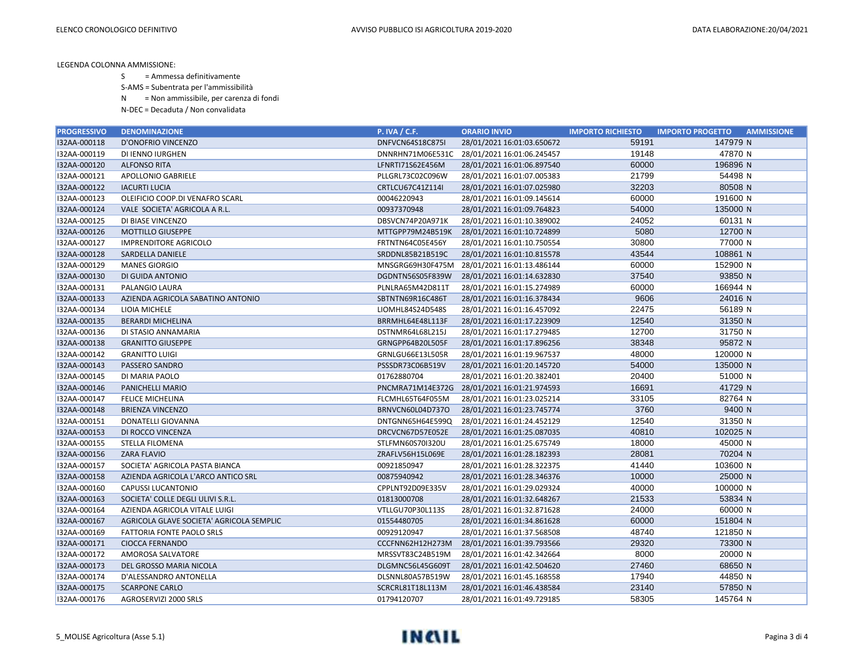S = Ammessa definitivamente

S-AMS = Subentrata per l'ammissibilità

N = Non ammissibile, per carenza di fondi

| <b>PROGRESSIVO</b> | <b>DENOMINAZIONE</b>                     | <b>P. IVA / C.F.</b> | <b>ORARIO INVIO</b>                         | <b>IMPORTO RICHIESTO</b> | <b>IMPORTO PROGETTO</b><br><b>AMMISSIONE</b> |
|--------------------|------------------------------------------|----------------------|---------------------------------------------|--------------------------|----------------------------------------------|
| I32AA-000118       | D'ONOFRIO VINCENZO                       | DNFVCN64S18C875I     | 28/01/2021 16:01:03.650672                  | 59191                    | 147979 N                                     |
| I32AA-000119       | DI IENNO IURGHEN                         |                      | DNNRHN71M06E531C 28/01/2021 16:01:06.245457 | 19148                    | 47870 N                                      |
| I32AA-000120       | <b>ALFONSO RITA</b>                      | LFNRTI71S62E456M     | 28/01/2021 16:01:06.897540                  | 60000                    | 196896 N                                     |
| I32AA-000121       | APOLLONIO GABRIELE                       | PLLGRL73C02C096W     | 28/01/2021 16:01:07.005383                  | 21799                    | 54498 N                                      |
| I32AA-000122       | <b>IACURTI LUCIA</b>                     | CRTLCU67C41Z114I     | 28/01/2021 16:01:07.025980                  | 32203                    | 80508 N                                      |
| I32AA-000123       | OLEIFICIO COOP.DI VENAFRO SCARL          | 00046220943          | 28/01/2021 16:01:09.145614                  | 60000                    | 191600 N                                     |
| I32AA-000124       | VALE SOCIETA' AGRICOLA A R.L.            | 00937370948          | 28/01/2021 16:01:09.764823                  | 54000                    | 135000 N                                     |
| I32AA-000125       | DI BIASE VINCENZO                        | DBSVCN74P20A971K     | 28/01/2021 16:01:10.389002                  | 24052                    | 60131 N                                      |
| I32AA-000126       | <b>MOTTILLO GIUSEPPE</b>                 | MTTGPP79M24B519K     | 28/01/2021 16:01:10.724899                  | 5080                     | 12700 N                                      |
| I32AA-000127       | <b>IMPRENDITORE AGRICOLO</b>             | FRTNTN64C05E456Y     | 28/01/2021 16:01:10.750554                  | 30800                    | 77000 N                                      |
| I32AA-000128       | SARDELLA DANIELE                         | SRDDNL85B21B519C     | 28/01/2021 16:01:10.815578                  | 43544                    | 108861 N                                     |
| I32AA-000129       | <b>MANES GIORGIO</b>                     | MNSGRG69H30F475M     | 28/01/2021 16:01:13.486144                  | 60000                    | 152900 N                                     |
| I32AA-000130       | DI GUIDA ANTONIO                         | DGDNTN56S05F839W     | 28/01/2021 16:01:14.632830                  | 37540                    | 93850 N                                      |
| I32AA-000131       | PALANGIO LAURA                           | PLNLRA65M42D811T     | 28/01/2021 16:01:15.274989                  | 60000                    | 166944 N                                     |
| I32AA-000133       | AZIENDA AGRICOLA SABATINO ANTONIO        | SBTNTN69R16C486T     | 28/01/2021 16:01:16.378434                  | 9606                     | 24016 N                                      |
| I32AA-000134       | LIOIA MICHELE                            | LIOMHL84S24D548S     | 28/01/2021 16:01:16.457092                  | 22475                    | 56189 N                                      |
| I32AA-000135       | <b>BERARDI MICHELINA</b>                 | BRRMHL64E48L113F     | 28/01/2021 16:01:17.223909                  | 12540                    | 31350 N                                      |
| I32AA-000136       | DI STASIO ANNAMARIA                      | DSTNMR64L68L215J     | 28/01/2021 16:01:17.279485                  | 12700                    | 31750 N                                      |
| I32AA-000138       | <b>GRANITTO GIUSEPPE</b>                 | GRNGPP64B20L505F     | 28/01/2021 16:01:17.896256                  | 38348                    | 95872 N                                      |
| I32AA-000142       | <b>GRANITTO LUIGI</b>                    | GRNLGU66E13L505R     | 28/01/2021 16:01:19.967537                  | 48000                    | 120000 N                                     |
| I32AA-000143       | PASSERO SANDRO                           | PSSSDR73C06B519V     | 28/01/2021 16:01:20.145720                  | 54000                    | 135000 N                                     |
| I32AA-000145       | DI MARIA PAOLO                           | 01762880704          | 28/01/2021 16:01:20.382401                  | 20400                    | 51000 N                                      |
| I32AA-000146       | PANICHELLI MARIO                         |                      | PNCMRA71M14E372G 28/01/2021 16:01:21.974593 | 16691                    | 41729 N                                      |
| I32AA-000147       | <b>FELICE MICHELINA</b>                  | FLCMHL65T64F055M     | 28/01/2021 16:01:23.025214                  | 33105                    | 82764 N                                      |
| I32AA-000148       | <b>BRIENZA VINCENZO</b>                  | BRNVCN60L04D737O     | 28/01/2021 16:01:23.745774                  | 3760                     | 9400 N                                       |
| I32AA-000151       | DONATELLI GIOVANNA                       | DNTGNN65H64E599Q     | 28/01/2021 16:01:24.452129                  | 12540                    | 31350 N                                      |
| I32AA-000153       | DI ROCCO VINCENZA                        | DRCVCN67D57E052E     | 28/01/2021 16:01:25.087035                  | 40810                    | 102025 N                                     |
| I32AA-000155       | STELLA FILOMENA                          | STLFMN60S70I320U     | 28/01/2021 16:01:25.675749                  | 18000                    | 45000 N                                      |
| I32AA-000156       | <b>ZARA FLAVIO</b>                       | ZRAFLV56H15L069E     | 28/01/2021 16:01:28.182393                  | 28081                    | 70204 N                                      |
| I32AA-000157       | SOCIETA' AGRICOLA PASTA BIANCA           | 00921850947          | 28/01/2021 16:01:28.322375                  | 41440                    | 103600 N                                     |
| I32AA-000158       | AZIENDA AGRICOLA L'ARCO ANTICO SRL       | 00875940942          | 28/01/2021 16:01:28.346376                  | 10000                    | 25000 N                                      |
| I32AA-000160       | CAPUSSI LUCANTONIO                       | CPPLNT92D09E335V     | 28/01/2021 16:01:29.029324                  | 40000                    | 100000 N                                     |
| I32AA-000163       | SOCIETA' COLLE DEGLI ULIVI S.R.L.        | 01813000708          | 28/01/2021 16:01:32.648267                  | 21533                    | 53834 N                                      |
| I32AA-000164       | AZIENDA AGRICOLA VITALE LUIGI            | VTLLGU70P30L113S     | 28/01/2021 16:01:32.871628                  | 24000                    | 60000 N                                      |
| I32AA-000167       | AGRICOLA GLAVE SOCIETA' AGRICOLA SEMPLIC | 01554480705          | 28/01/2021 16:01:34.861628                  | 60000                    | 151804 N                                     |
| I32AA-000169       | FATTORIA FONTE PAOLO SRLS                | 00929120947          | 28/01/2021 16:01:37.568508                  | 48740                    | 121850 N                                     |
| I32AA-000171       | <b>CIOCCA FERNANDO</b>                   | CCCFNN62H12H273M     | 28/01/2021 16:01:39.793566                  | 29320                    | 73300 N                                      |
| I32AA-000172       | AMOROSA SALVATORE                        | MRSSVT83C24B519M     | 28/01/2021 16:01:42.342664                  | 8000                     | 20000 N                                      |
| I32AA-000173       | DEL GROSSO MARIA NICOLA                  | DLGMNC56L45G609T     | 28/01/2021 16:01:42.504620                  | 27460                    | 68650 N                                      |
| I32AA-000174       | D'ALESSANDRO ANTONELLA                   | DLSNNL80A57B519W     | 28/01/2021 16:01:45.168558                  | 17940                    | 44850 N                                      |
| I32AA-000175       | <b>SCARPONE CARLO</b>                    | SCRCRL81T18L113M     | 28/01/2021 16:01:46.438584                  | 23140                    | 57850 N                                      |
| I32AA-000176       | AGROSERVIZI 2000 SRLS                    | 01794120707          | 28/01/2021 16:01:49.729185                  | 58305                    | 145764 N                                     |